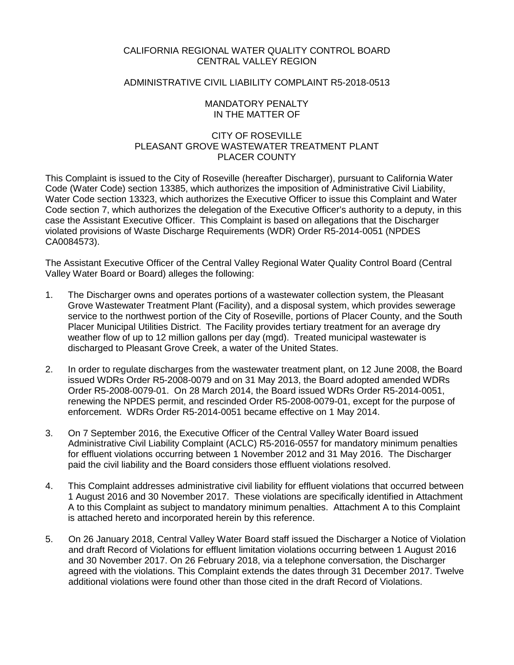### CALIFORNIA REGIONAL WATER QUALITY CONTROL BOARD CENTRAL VALLEY REGION

## ADMINISTRATIVE CIVIL LIABILITY COMPLAINT R5-2018-0513

### MANDATORY PENALTY IN THE MATTER OF

# CITY OF ROSEVILLE PLEASANT GROVE WASTEWATER TREATMENT PLANT PLACER COUNTY

This Complaint is issued to the City of Roseville (hereafter Discharger), pursuant to California Water Code (Water Code) section 13385, which authorizes the imposition of Administrative Civil Liability, Water Code section 13323, which authorizes the Executive Officer to issue this Complaint and Water Code section 7, which authorizes the delegation of the Executive Officer's authority to a deputy, in this case the Assistant Executive Officer. This Complaint is based on allegations that the Discharger violated provisions of Waste Discharge Requirements (WDR) Order R5-2014-0051 (NPDES CA0084573).

The Assistant Executive Officer of the Central Valley Regional Water Quality Control Board (Central Valley Water Board or Board) alleges the following:

- 1. The Discharger owns and operates portions of a wastewater collection system, the Pleasant Grove Wastewater Treatment Plant (Facility), and a disposal system, which provides sewerage service to the northwest portion of the City of Roseville, portions of Placer County, and the South Placer Municipal Utilities District. The Facility provides tertiary treatment for an average dry weather flow of up to 12 million gallons per day (mgd). Treated municipal wastewater is discharged to Pleasant Grove Creek, a water of the United States.
- 2. In order to regulate discharges from the wastewater treatment plant, on 12 June 2008, the Board issued WDRs Order R5-2008-0079 and on 31 May 2013, the Board adopted amended WDRs Order R5-2008-0079-01. On 28 March 2014, the Board issued WDRs Order R5-2014-0051, renewing the NPDES permit, and rescinded Order R5-2008-0079-01, except for the purpose of enforcement. WDRs Order R5-2014-0051 became effective on 1 May 2014.
- 3. On 7 September 2016, the Executive Officer of the Central Valley Water Board issued Administrative Civil Liability Complaint (ACLC) R5-2016-0557 for mandatory minimum penalties for effluent violations occurring between 1 November 2012 and 31 May 2016. The Discharger paid the civil liability and the Board considers those effluent violations resolved.
- 4. This Complaint addresses administrative civil liability for effluent violations that occurred between 1 August 2016 and 30 November 2017. These violations are specifically identified in Attachment A to this Complaint as subject to mandatory minimum penalties. Attachment A to this Complaint is attached hereto and incorporated herein by this reference.
- 5. On 26 January 2018, Central Valley Water Board staff issued the Discharger a Notice of Violation and draft Record of Violations for effluent limitation violations occurring between 1 August 2016 and 30 November 2017. On 26 February 2018, via a telephone conversation, the Discharger agreed with the violations. This Complaint extends the dates through 31 December 2017. Twelve additional violations were found other than those cited in the draft Record of Violations.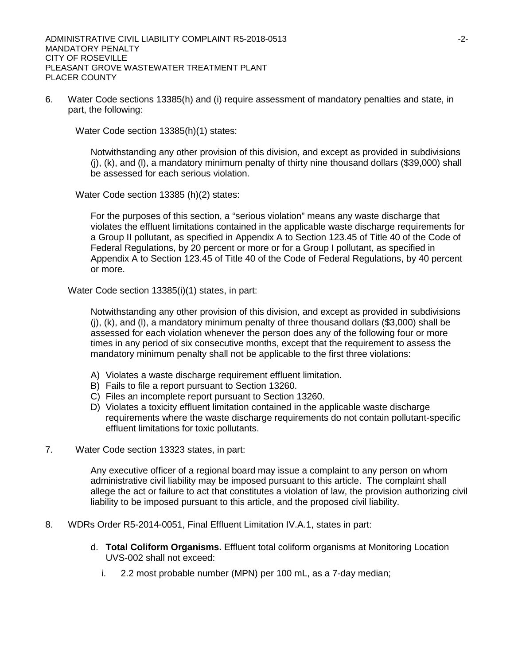6. Water Code sections 13385(h) and (i) require assessment of mandatory penalties and state, in part, the following:

Water Code section 13385(h)(1) states:

Notwithstanding any other provision of this division, and except as provided in subdivisions (j), (k), and (l), a mandatory minimum penalty of thirty nine thousand dollars (\$39,000) shall be assessed for each serious violation.

Water Code section 13385 (h)(2) states:

For the purposes of this section, a "serious violation" means any waste discharge that violates the effluent limitations contained in the applicable waste discharge requirements for a Group II pollutant, as specified in Appendix A to Section 123.45 of Title 40 of the Code of Federal Regulations, by 20 percent or more or for a Group I pollutant, as specified in Appendix A to Section 123.45 of Title 40 of the Code of Federal Regulations, by 40 percent or more.

Water Code section 13385(i)(1) states, in part:

Notwithstanding any other provision of this division, and except as provided in subdivisions  $(i)$ ,  $(k)$ , and  $(l)$ , a mandatory minimum penalty of three thousand dollars (\$3,000) shall be assessed for each violation whenever the person does any of the following four or more times in any period of six consecutive months, except that the requirement to assess the mandatory minimum penalty shall not be applicable to the first three violations:

- A) Violates a waste discharge requirement effluent limitation.
- B) Fails to file a report pursuant to Section 13260.
- C) Files an incomplete report pursuant to Section 13260.
- D) Violates a toxicity effluent limitation contained in the applicable waste discharge requirements where the waste discharge requirements do not contain pollutant-specific effluent limitations for toxic pollutants.
- 7. Water Code section 13323 states, in part:

Any executive officer of a regional board may issue a complaint to any person on whom administrative civil liability may be imposed pursuant to this article. The complaint shall allege the act or failure to act that constitutes a violation of law, the provision authorizing civil liability to be imposed pursuant to this article, and the proposed civil liability.

- 8. WDRs Order R5-2014-0051, Final Effluent Limitation IV.A.1, states in part:
	- d. **Total Coliform Organisms.** Effluent total coliform organisms at Monitoring Location UVS-002 shall not exceed:
		- i. 2.2 most probable number (MPN) per 100 mL, as a 7-day median;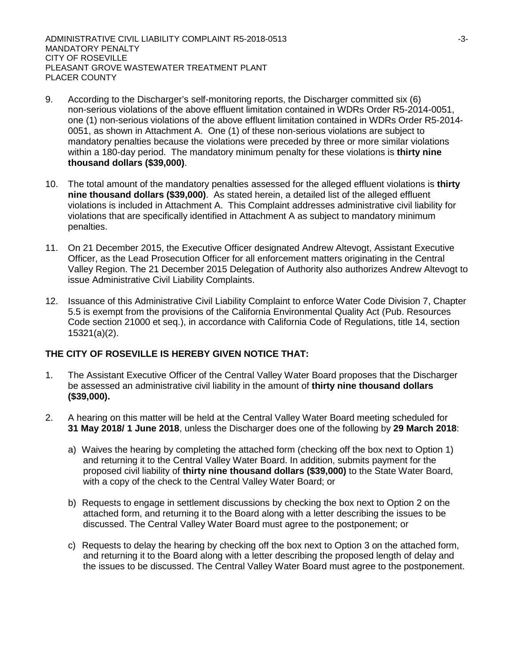ADMINISTRATIVE CIVIL LIABILITY COMPLAINT R5-2018-0513 43-3-MANDATORY PENALTY CITY OF ROSEVILLE PLEASANT GROVE WASTEWATER TREATMENT PLANT PLACER COUNTY

- 9. According to the Discharger's self-monitoring reports, the Discharger committed six (6) non-serious violations of the above effluent limitation contained in WDRs Order R5-2014-0051, one (1) non-serious violations of the above effluent limitation contained in WDRs Order R5-2014- 0051, as shown in Attachment A. One (1) of these non-serious violations are subject to mandatory penalties because the violations were preceded by three or more similar violations within a 180-day period. The mandatory minimum penalty for these violations is **thirty nine thousand dollars (\$39,000)**.
- 10. The total amount of the mandatory penalties assessed for the alleged effluent violations is **thirty nine thousand dollars (\$39,000)**. As stated herein, a detailed list of the alleged effluent violations is included in Attachment A. This Complaint addresses administrative civil liability for violations that are specifically identified in Attachment A as subject to mandatory minimum penalties.
- 11. On 21 December 2015, the Executive Officer designated Andrew Altevogt, Assistant Executive Officer, as the Lead Prosecution Officer for all enforcement matters originating in the Central Valley Region. The 21 December 2015 Delegation of Authority also authorizes Andrew Altevogt to issue Administrative Civil Liability Complaints.
- 12. Issuance of this Administrative Civil Liability Complaint to enforce Water Code Division 7, Chapter 5.5 is exempt from the provisions of the California Environmental Quality Act (Pub. Resources Code section 21000 et seq.), in accordance with California Code of Regulations, title 14, section 15321(a)(2).

# **THE CITY OF ROSEVILLE IS HEREBY GIVEN NOTICE THAT:**

- 1. The Assistant Executive Officer of the Central Valley Water Board proposes that the Discharger be assessed an administrative civil liability in the amount of **thirty nine thousand dollars (\$39,000).**
- 2. A hearing on this matter will be held at the Central Valley Water Board meeting scheduled for **31 May 2018/ 1 June 2018**, unless the Discharger does one of the following by **29 March 2018**:
	- a) Waives the hearing by completing the attached form (checking off the box next to Option 1) and returning it to the Central Valley Water Board. In addition, submits payment for the proposed civil liability of **thirty nine thousand dollars (\$39,000)** to the State Water Board, with a copy of the check to the Central Valley Water Board; or
	- b) Requests to engage in settlement discussions by checking the box next to Option 2 on the attached form, and returning it to the Board along with a letter describing the issues to be discussed. The Central Valley Water Board must agree to the postponement; or
	- c) Requests to delay the hearing by checking off the box next to Option 3 on the attached form, and returning it to the Board along with a letter describing the proposed length of delay and the issues to be discussed. The Central Valley Water Board must agree to the postponement.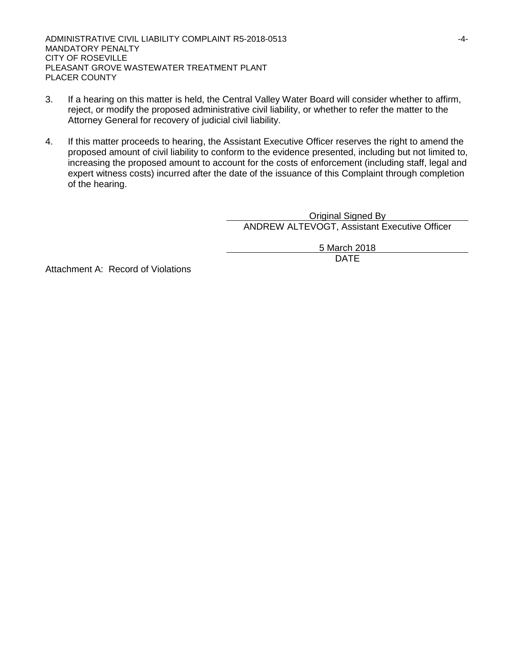ADMINISTRATIVE CIVIL LIABILITY COMPLAINT R5-2018-0513 4-4-MANDATORY PENALTY CITY OF ROSEVILLE PLEASANT GROVE WASTEWATER TREATMENT PLANT PLACER COUNTY

- 3. If a hearing on this matter is held, the Central Valley Water Board will consider whether to affirm, reject, or modify the proposed administrative civil liability, or whether to refer the matter to the Attorney General for recovery of judicial civil liability.
- 4. If this matter proceeds to hearing, the Assistant Executive Officer reserves the right to amend the proposed amount of civil liability to conform to the evidence presented, including but not limited to, increasing the proposed amount to account for the costs of enforcement (including staff, legal and expert witness costs) incurred after the date of the issuance of this Complaint through completion of the hearing.

Original Signed By ANDREW ALTEVOGT, Assistant Executive Officer

> 5 March 2018 DATE

Attachment A: Record of Violations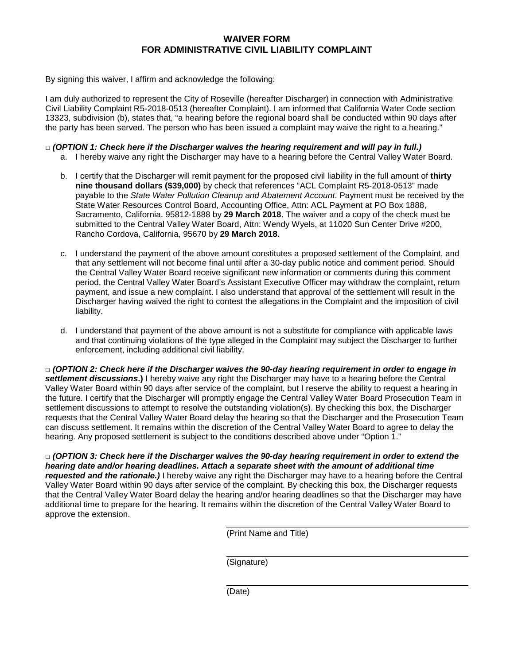# **WAIVER FORM FOR ADMINISTRATIVE CIVIL LIABILITY COMPLAINT**

By signing this waiver, I affirm and acknowledge the following:

I am duly authorized to represent the City of Roseville (hereafter Discharger) in connection with Administrative Civil Liability Complaint R5-2018-0513 (hereafter Complaint). I am informed that California Water Code section 13323, subdivision (b), states that, "a hearing before the regional board shall be conducted within 90 days after the party has been served. The person who has been issued a complaint may waive the right to a hearing."

### **□** *(OPTION 1: Check here if the Discharger waives the hearing requirement and will pay in full.)*

- a. I hereby waive any right the Discharger may have to a hearing before the Central Valley Water Board.
- b. I certify that the Discharger will remit payment for the proposed civil liability in the full amount of **thirty nine thousand dollars (\$39,000)** by check that references "ACL Complaint R5-2018-0513" made payable to the *State Water Pollution Cleanup and Abatement Account*. Payment must be received by the State Water Resources Control Board, Accounting Office, Attn: ACL Payment at PO Box 1888, Sacramento, California, 95812-1888 by **29 March 2018**. The waiver and a copy of the check must be submitted to the Central Valley Water Board, Attn: Wendy Wyels, at 11020 Sun Center Drive #200, Rancho Cordova, California, 95670 by **29 March 2018**.
- c. I understand the payment of the above amount constitutes a proposed settlement of the Complaint, and that any settlement will not become final until after a 30-day public notice and comment period. Should the Central Valley Water Board receive significant new information or comments during this comment period, the Central Valley Water Board's Assistant Executive Officer may withdraw the complaint, return payment, and issue a new complaint. I also understand that approval of the settlement will result in the Discharger having waived the right to contest the allegations in the Complaint and the imposition of civil liability.
- d. I understand that payment of the above amount is not a substitute for compliance with applicable laws and that continuing violations of the type alleged in the Complaint may subject the Discharger to further enforcement, including additional civil liability.

**□** *(OPTION 2: Check here if the Discharger waives the 90-day hearing requirement in order to engage in settlement discussions***.)** I hereby waive any right the Discharger may have to a hearing before the Central Valley Water Board within 90 days after service of the complaint, but I reserve the ability to request a hearing in the future. I certify that the Discharger will promptly engage the Central Valley Water Board Prosecution Team in settlement discussions to attempt to resolve the outstanding violation(s). By checking this box, the Discharger requests that the Central Valley Water Board delay the hearing so that the Discharger and the Prosecution Team can discuss settlement. It remains within the discretion of the Central Valley Water Board to agree to delay the hearing. Any proposed settlement is subject to the conditions described above under "Option 1."

**□** *(OPTION 3: Check here if the Discharger waives the 90-day hearing requirement in order to extend the hearing date and/or hearing deadlines. Attach a separate sheet with the amount of additional time requested and the rationale.)* I hereby waive any right the Discharger may have to a hearing before the Central Valley Water Board within 90 days after service of the complaint. By checking this box, the Discharger requests that the Central Valley Water Board delay the hearing and/or hearing deadlines so that the Discharger may have additional time to prepare for the hearing. It remains within the discretion of the Central Valley Water Board to approve the extension.

(Print Name and Title)

(Signature)

(Date)